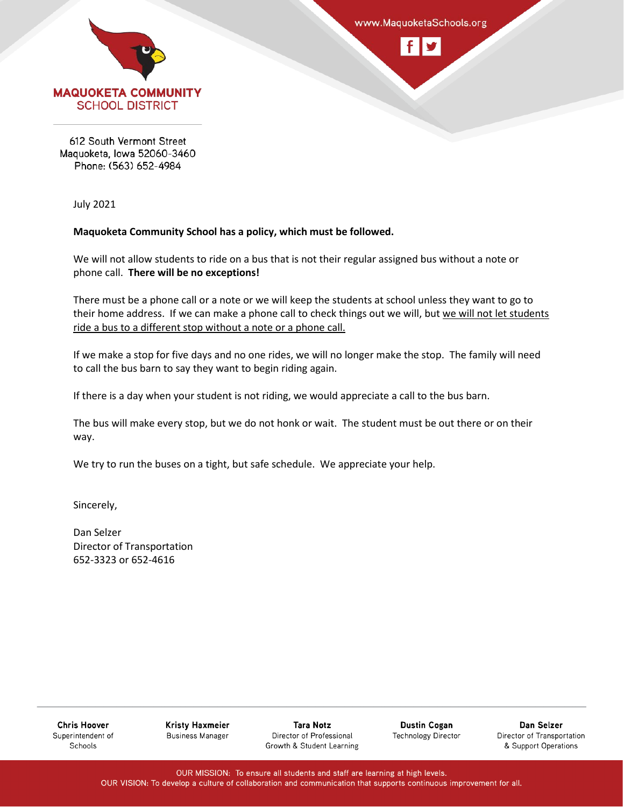



612 South Vermont Street Maquoketa, Iowa 52060-3460 Phone: (563) 652-4984

July 2021

### **Maquoketa Community School has a policy, which must be followed.**

We will not allow students to ride on a bus that is not their regular assigned bus without a note or phone call. **There will be no exceptions!**

There must be a phone call or a note or we will keep the students at school unless they want to go to their home address. If we can make a phone call to check things out we will, but we will not let students ride a bus to a different stop without a note or a phone call.

If we make a stop for five days and no one rides, we will no longer make the stop. The family will need to call the bus barn to say they want to begin riding again.

If there is a day when your student is not riding, we would appreciate a call to the bus barn.

The bus will make every stop, but we do not honk or wait. The student must be out there or on their way.

We try to run the buses on a tight, but safe schedule. We appreciate your help.

Sincerely,

Dan Selzer Director of Transportation 652-3323 or 652-4616

**Chris Hoover** Superintendent of Schools

**Kristy Haxmeier Business Manager** 

**Tara Notz** Director of Professional Growth & Student Learning

**Dustin Cogan Technology Director** 

Dan Selzer Director of Transportation & Support Operations

OUR MISSION: To ensure all students and staff are learning at high levels. OUR VISION: To develop a culture of collaboration and communication that supports continuous improvement for all.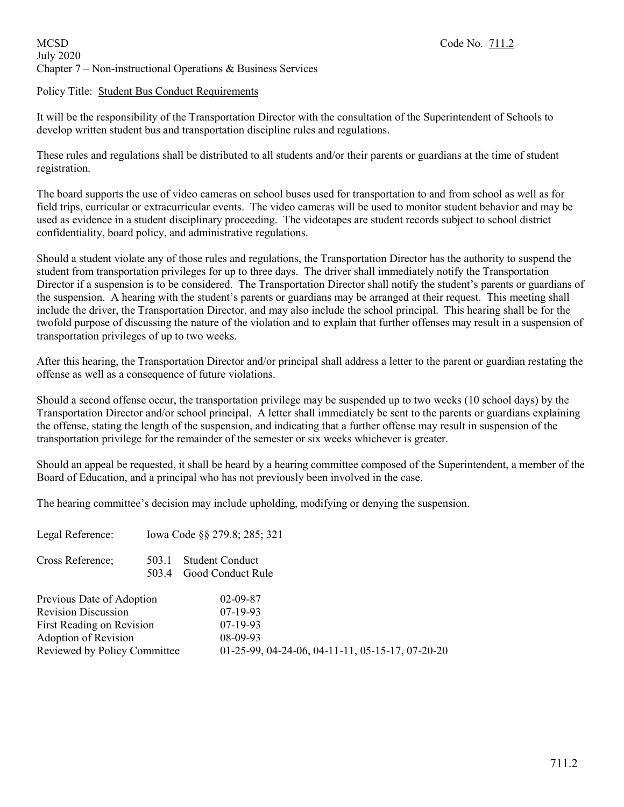# MCSD Code No. 711.2 July 2020 Chapter 7 – Non-instructional Operations & Business Services

# Policy Title: Student Bus Conduct Requirements

It will be the responsibility of the Transportation Director with the consultation of the Superintendent of Schools to develop written student bus and transportation discipline rules and regulations.

These rules and regulations shall be distributed to all students and/or their parents or guardians at the time of student registration.

The board supports the use of video cameras on school buses used for transportation to and from school as well as for field trips, curricular or extracurricular events. The video cameras will be used to monitor student behavior and may be used as evidence in a student disciplinary proceeding. The videotapes are student records subject to school district confidentiality, board policy, and administrative regulations.

Should a student violate any of those rules and regulations, the Transportation Director has the authority to suspend the student from transportation privileges for up to three days. The driver shall immediately notify the Transportation Director if a suspension is to be considered. The Transportation Director shall notify the student's parents or guardians of the suspension. A hearing with the student's parents or guardians may be arranged at their request. This meeting shall include the driver, the Transportation Director, and may also include the school principal. This hearing shall be for the twofold purpose of discussing the nature of the violation and to explain that further offenses may result in a suspension of transportation privileges of up to two weeks.

After this hearing, the Transportation Director and/or principal shall address a letter to the parent or guardian restating the offense as well as a consequence of future violations.

Should a second offense occur, the transportation privilege may be suspended up to two weeks (10 school days) by the Transportation Director and/or school principal. A letter shall immediately be sent to the parents or guardians explaining the offense, stating the length of the suspension, and indicating that a further offense may result in suspension of the transportation privilege for the remainder of the semester or six weeks whichever is greater.

Should an appeal be requested, it shall be heard by a hearing committee composed of the Superintendent, a member of the Board of Education, and a principal who has not previously been involved in the case.

The hearing committee's decision may include upholding, modifying or denying the suspension.

| Legal Reference:                                                                                                                             |                | Iowa Code §§ 279.8; 285; 321                                                                               |
|----------------------------------------------------------------------------------------------------------------------------------------------|----------------|------------------------------------------------------------------------------------------------------------|
| Cross Reference;                                                                                                                             | 503.1<br>503.4 | <b>Student Conduct</b><br>Good Conduct Rule                                                                |
| Previous Date of Adoption<br><b>Revision Discussion</b><br>First Reading on Revision<br>Adoption of Revision<br>Reviewed by Policy Committee |                | $02 - 09 - 87$<br>$07-19-93$<br>$07-19-93$<br>08-09-93<br>01-25-99, 04-24-06, 04-11-11, 05-15-17, 07-20-20 |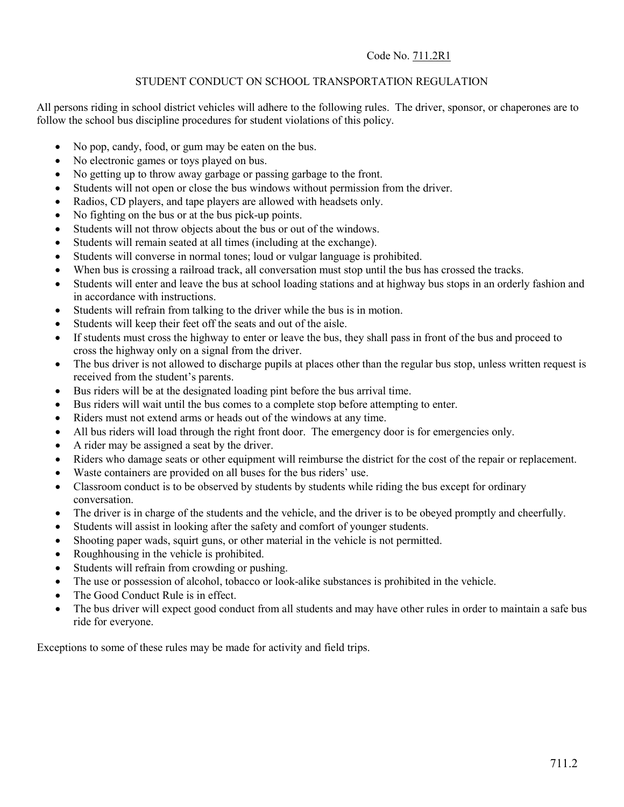# Code No. 711.2R1

# STUDENT CONDUCT ON SCHOOL TRANSPORTATION REGULATION

All persons riding in school district vehicles will adhere to the following rules. The driver, sponsor, or chaperones are to follow the school bus discipline procedures for student violations of this policy.

- No pop, candy, food, or gum may be eaten on the bus.
- No electronic games or toys played on bus.
- No getting up to throw away garbage or passing garbage to the front.
- Students will not open or close the bus windows without permission from the driver.
- Radios, CD players, and tape players are allowed with headsets only.
- No fighting on the bus or at the bus pick-up points.
- Students will not throw objects about the bus or out of the windows.
- Students will remain seated at all times (including at the exchange).
- Students will converse in normal tones; loud or vulgar language is prohibited.
- When bus is crossing a railroad track, all conversation must stop until the bus has crossed the tracks.
- Students will enter and leave the bus at school loading stations and at highway bus stops in an orderly fashion and in accordance with instructions.
- Students will refrain from talking to the driver while the bus is in motion.
- Students will keep their feet off the seats and out of the aisle.
- If students must cross the highway to enter or leave the bus, they shall pass in front of the bus and proceed to cross the highway only on a signal from the driver.
- The bus driver is not allowed to discharge pupils at places other than the regular bus stop, unless written request is received from the student's parents.
- Bus riders will be at the designated loading pint before the bus arrival time.
- Bus riders will wait until the bus comes to a complete stop before attempting to enter.
- Riders must not extend arms or heads out of the windows at any time.
- All bus riders will load through the right front door. The emergency door is for emergencies only.
- A rider may be assigned a seat by the driver.
- Riders who damage seats or other equipment will reimburse the district for the cost of the repair or replacement.
- Waste containers are provided on all buses for the bus riders' use.
- Classroom conduct is to be observed by students by students while riding the bus except for ordinary conversation.
- The driver is in charge of the students and the vehicle, and the driver is to be obeyed promptly and cheerfully.
- Students will assist in looking after the safety and comfort of younger students.
- Shooting paper wads, squirt guns, or other material in the vehicle is not permitted.
- Roughhousing in the vehicle is prohibited.
- Students will refrain from crowding or pushing.
- The use or possession of alcohol, tobacco or look-alike substances is prohibited in the vehicle.
- The Good Conduct Rule is in effect.
- The bus driver will expect good conduct from all students and may have other rules in order to maintain a safe bus ride for everyone.

Exceptions to some of these rules may be made for activity and field trips.